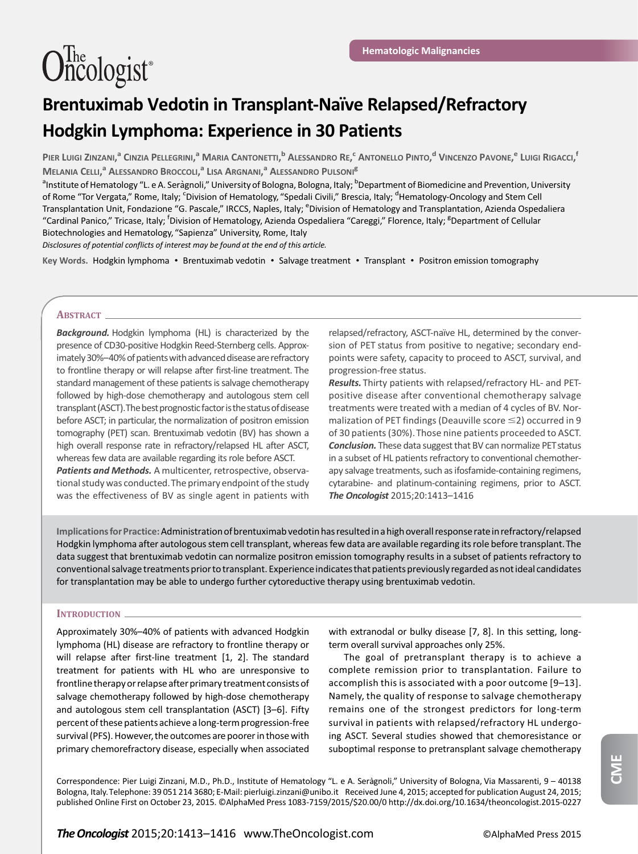# Brentuximab Vedotin in Transplant-Naïve Relapsed/Refractory Hodgkin Lymphoma: Experience in 30 Patients

PIER LUIGI ZINZANI,<sup>a</sup> CINZIA PELLEGRINI,<sup>a</sup> MARIA CANTONETTI,<sup>b</sup> ALESSANDRO RE,<sup>c</sup> ANTONELLO PINTO,<sup>d</sup> VINCENZO PAVONE,<sup>e</sup> LUIGI RIGACCI,<sup>f</sup> MELANIA CELLI,<sup>a</sup> Alessandro Broccoli,<sup>a</sup> Lisa Argnani,<sup>a</sup> Alessandro Pulsoni<sup>e</sup>

<sup>a</sup>Institute of Hematology "L. e A. Seràgnoli," University of Bologna, Bologna, Italy; <sup>b</sup>Department of Biomedicine and Prevention, University of Rome "Tor Vergata," Rome, Italy; <sup>c</sup>Division of Hematology, "Spedali Civili," Brescia, Italy; <sup>d</sup>Hematology-Oncology and Stem Cell Transplantation Unit, Fondazione "G. Pascale," IRCCS, Naples, Italy; <sup>e</sup>Division of Hematology and Transplantation, Azienda Ospedaliera "Cardinal Panico," Tricase, Italy; <sup>f</sup>Division of Hematology, Azienda Ospedaliera "Careggi," Florence, Italy; <sup>g</sup>Department of Cellular Biotechnologies and Hematology, "Sapienza" University, Rome, Italy

Disclosures of potential conflicts of interest may be found at the end of this article.

Key Words. Hodgkin lymphoma · Brentuximab vedotin · Salvage treatment · Transplant · Positron emission tomography

# ABSTRACT\_

**Background.** Hodgkin lymphoma (HL) is characterized by the presence of CD30-positive Hodgkin Reed-Sternberg cells. Approximately 30%–40% of patients with advanced disease are refractory to frontline therapy or will relapse after first-line treatment. The standard management of these patients is salvage chemotherapy followed by high-dose chemotherapy and autologous stem cell transplant (ASCT). The best prognostic factor is the status of disease before ASCT; in particular, the normalization of positron emission tomography (PET) scan. Brentuximab vedotin (BV) has shown a high overall response rate in refractory/relapsed HL after ASCT, whereas few data are available regarding its role before ASCT. Patients and Methods. A multicenter, retrospective, observa-

tional study was conducted.The primary endpoint of the study was the effectiveness of BV as single agent in patients with relapsed/refractory, ASCT-naïve HL, determined by the conversion of PET status from positive to negative; secondary endpoints were safety, capacity to proceed to ASCT, survival, and progression-free status.

Results. Thirty patients with relapsed/refractory HL- and PETpositive disease after conventional chemotherapy salvage treatments were treated with a median of 4 cycles of BV. Normalization of PET findings (Deauville score  $\leq$ 2) occurred in 9 of 30 patients (30%).Those nine patients proceeded to ASCT. **Conclusion.** These data suggest that BV can normalize PET status in a subset of HL patients refractory to conventional chemotherapy salvage treatments, such as ifosfamide-containing regimens, cytarabine- and platinum-containing regimens, prior to ASCT. The Oncologist 2015;20:1413–1416

Implications for Practice:Administration of brentuximab vedotin has resultedin a high overall response rate in refractory/relapsed Hodgkin lymphoma after autologous stem cell transplant, whereas few data are available regarding its role before transplant.The data suggest that brentuximab vedotin can normalize positron emission tomography results in a subset of patients refractory to conventional salvage treatments prior to transplant. Experience indicates that patients previously regarded as not ideal candidates for transplantation may be able to undergo further cytoreductive therapy using brentuximab vedotin.

## INTRODUCTION.

Approximately 30%–40% of patients with advanced Hodgkin lymphoma (HL) disease are refractory to frontline therapy or will relapse after first-line treatment [1, 2]. The standard treatment for patients with HL who are unresponsive to frontline therapy or relapse after primary treatment consists of salvage chemotherapy followed by high-dose chemotherapy and autologous stem cell transplantation (ASCT) [3–6]. Fifty percent of these patients achieve a long-term progression-free survival (PFS). However, the outcomes are poorer in those with primary chemorefractory disease, especially when associated

with extranodal or bulky disease [7, 8]. In this setting, longterm overall survival approaches only 25%.

The goal of pretransplant therapy is to achieve a complete remission prior to transplantation. Failure to accomplish this is associated with a poor outcome [9–13]. Namely, the quality of response to salvage chemotherapy remains one of the strongest predictors for long-term survival in patients with relapsed/refractory HL undergoing ASCT. Several studies showed that chemoresistance or suboptimal response to pretransplant salvage chemotherapy

**CME**

Correspondence: Pier Luigi Zinzani, M.D., Ph.D., Institute of Hematology "L. e A. Seràgnoli," University of Bologna, Via Massarenti, 9 - 40138 Bologna, Italy.Telephone: 39 051 214 3680; E-Mail: [pierluigi.zinzani@unibo.it](mailto:pierluigi.zinzani@unibo.it) Received June 4, 2015; accepted for publication August 24, 2015; published Online First on October 23, 2015. ©AlphaMed Press 1083-7159/2015/\$20.00/0<http://dx.doi.org/10.1634/theoncologist.2015-0227>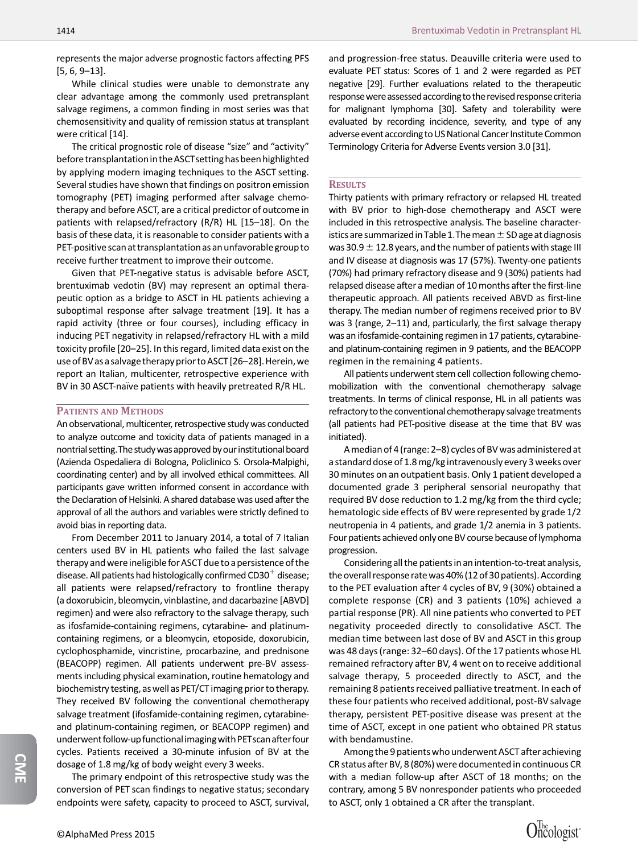represents the major adverse prognostic factors affecting PFS [5, 6, 9–13].

While clinical studies were unable to demonstrate any clear advantage among the commonly used pretransplant salvage regimens, a common finding in most series was that chemosensitivity and quality of remission status at transplant were critical [14].

The critical prognostic role of disease "size" and "activity" before transplantationin the ASCTsetting has been highlighted by applying modern imaging techniques to the ASCT setting. Several studies have shown that findings on positron emission tomography (PET) imaging performed after salvage chemotherapy and before ASCT, are a critical predictor of outcome in patients with relapsed/refractory (R/R) HL [15–18]. On the basis of these data, it is reasonable to consider patients with a PET-positive scan at transplantation as an unfavorablegroup to receive further treatment to improve their outcome.

Given that PET-negative status is advisable before ASCT, brentuximab vedotin (BV) may represent an optimal therapeutic option as a bridge to ASCT in HL patients achieving a suboptimal response after salvage treatment [19]. It has a rapid activity (three or four courses), including efficacy in inducing PET negativity in relapsed/refractory HL with a mild toxicity profile [20–25]. In this regard, limited data exist on the use of BV as a salvage therapy prior to ASCT [26-28]. Herein, we report an Italian, multicenter, retrospective experience with BV in 30 ASCT-naïve patients with heavily pretreated R/R HL.

# PATIENTS AND METHODS

An observational, multicenter, retrospective study was conducted to analyze outcome and toxicity data of patients managed in a nontrial setting.The studywasapproved by our institutional board (Azienda Ospedaliera di Bologna, Policlinico S. Orsola-Malpighi, coordinating center) and by all involved ethical committees. All participants gave written informed consent in accordance with the Declaration of Helsinki. A shared database was used after the approval of all the authors and variables were strictly defined to avoid bias in reporting data.

From December 2011 to January 2014, a total of 7 Italian centers used BV in HL patients who failed the last salvage therapy and were ineligible for ASCT due to a persistence of the disease. All patients had histologically confirmed  $CD30^+$  disease; all patients were relapsed/refractory to frontline therapy (a doxorubicin, bleomycin, vinblastine, and dacarbazine [ABVD] regimen) and were also refractory to the salvage therapy, such as ifosfamide-containing regimens, cytarabine- and platinumcontaining regimens, or a bleomycin, etoposide, doxorubicin, cyclophosphamide, vincristine, procarbazine, and prednisone (BEACOPP) regimen. All patients underwent pre-BV assessments including physical examination, routine hematology and biochemistry testing, as well as PET/CT imaging prior to therapy. They received BV following the conventional chemotherapy salvage treatment (ifosfamide-containing regimen, cytarabineand platinum-containing regimen, or BEACOPP regimen) and underwent follow-up functional imaging with PETscan after four cycles. Patients received a 30-minute infusion of BV at the dosage of 1.8 mg/kg of body weight every 3 weeks.

**CME**

The primary endpoint of this retrospective study was the conversion of PET scan findings to negative status; secondary endpoints were safety, capacity to proceed to ASCT, survival,

and progression-free status. Deauville criteria were used to evaluate PET status: Scores of 1 and 2 were regarded as PET negative [29]. Further evaluations related to the therapeutic response were assessed according to the revised response criteria for malignant lymphoma [30]. Safety and tolerability were evaluated by recording incidence, severity, and type of any adverse event according to US National Cancer Institute Common Terminology Criteria for Adverse Events version 3.0 [31].

## **RESULTS**

Thirty patients with primary refractory or relapsed HL treated with BV prior to high-dose chemotherapy and ASCT were included in this retrospective analysis. The baseline characteristics are summarized in Table 1. The mean  $\pm$  SD age at diagnosis was 30.9  $\pm$  12.8 years, and the number of patients with stage III and IV disease at diagnosis was 17 (57%). Twenty-one patients (70%) had primary refractory disease and 9 (30%) patients had relapsed disease after a median of 10 months after the first-line therapeutic approach. All patients received ABVD as first-line therapy. The median number of regimens received prior to BV was 3 (range, 2–11) and, particularly, the first salvage therapy was an ifosfamide-containing regimen in 17 patients, cytarabineand platinum-containing regimen in 9 patients, and the BEACOPP regimen in the remaining 4 patients.

All patients underwent stem cell collection following chemomobilization with the conventional chemotherapy salvage treatments. In terms of clinical response, HL in all patients was refractory to the conventional chemotherapy salvage treatments (all patients had PET-positive disease at the time that BV was initiated).

A median of 4 (range: 2–8) cycles of BV was administered at a standard dose of 1.8 mg/kg intravenously every 3 weeks over 30 minutes on an outpatient basis. Only 1 patient developed a documented grade 3 peripheral sensorial neuropathy that required BV dose reduction to 1.2 mg/kg from the third cycle; hematologic side effects of BV were represented by grade 1/2 neutropenia in 4 patients, and grade 1/2 anemia in 3 patients. Four patients achieved only one BV course because of lymphoma progression.

Considering all the patients in an intention-to-treat analysis, the overall response rate was 40% (12 of 30 patients). According to the PET evaluation after 4 cycles of BV, 9 (30%) obtained a complete response (CR) and 3 patients (10%) achieved a partial response (PR). All nine patients who converted to PET negativity proceeded directly to consolidative ASCT. The median time between last dose of BV and ASCT in this group was 48 days (range: 32–60 days). Of the 17 patients whose HL remained refractory after BV, 4 went on to receive additional salvage therapy, 5 proceeded directly to ASCT, and the remaining 8 patients received palliative treatment. In each of these four patients who received additional, post-BV salvage therapy, persistent PET-positive disease was present at the time of ASCT, except in one patient who obtained PR status with bendamustine.

Among the 9 patients who underwent ASCT after achieving CR status after BV, 8 (80%) were documented in continuous CR with a median follow-up after ASCT of 18 months; on the contrary, among 5 BV nonresponder patients who proceeded to ASCT, only 1 obtained a CR after the transplant.

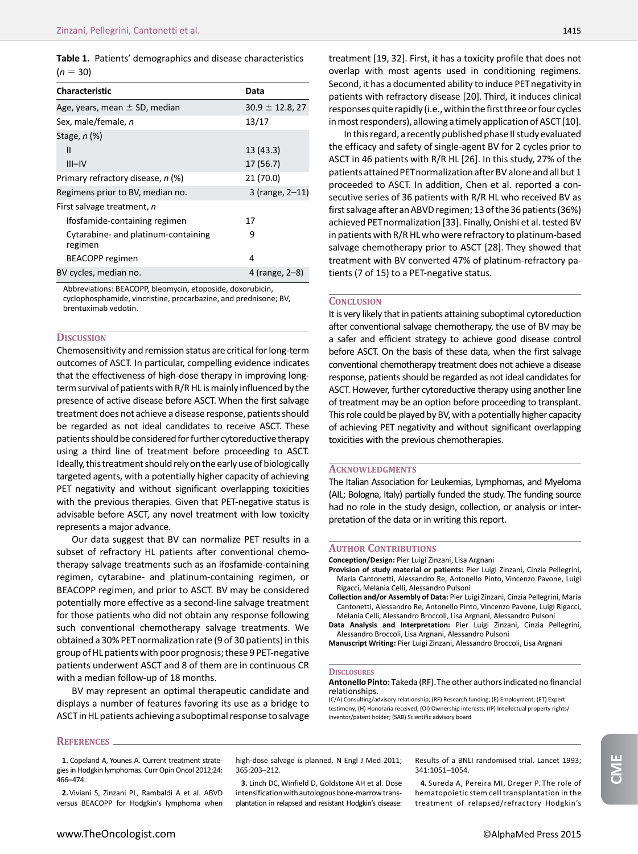Table 1. Patients' demographics and disease characteristics  $(n = 30)$ 

| <b>Characteristic</b>                          | Data                 |
|------------------------------------------------|----------------------|
| Age, years, mean $\pm$ SD, median              | $30.9 \pm 12.8$ , 27 |
| Sex, male/female, n                            | 13/17                |
| Stage, n (%)                                   |                      |
| Ш                                              | 13(43.3)             |
| $III - IV$                                     | 17 (56.7)            |
| Primary refractory disease, n (%)              | 21 (70.0)            |
| Regimens prior to BV, median no.               | 3 (range, 2-11)      |
| First salvage treatment, n                     |                      |
| Ifosfamide-containing regimen                  | 17                   |
| Cytarabine- and platinum-containing<br>regimen | 9                    |
| <b>BEACOPP</b> regimen                         | 4                    |
| BV cycles, median no.                          | 4 (range, 2–8)       |

Abbreviations: BEACOPP, bleomycin, etoposide, doxorubicin, cyclophosphamide, vincristine, procarbazine, and prednisone; BV, brentuximab vedotin.

### **DISCUSSION**

Chemosensitivity and remission status are critical for long-term outcomes of ASCT. In particular, compelling evidence indicates that the effectiveness of high-dose therapy in improving longterm survival of patients with R/R HL is mainly influenced by the presence of active disease before ASCT. When the first salvage treatment does not achieve a disease response, patients should be regarded as not ideal candidates to receive ASCT. These patients should be considered for further cytoreductive therapy using a third line of treatment before proceeding to ASCT. Ideally, this treatment should rely on the early use of biologically targeted agents, with a potentially higher capacity of achieving PET negativity and without significant overlapping toxicities with the previous therapies. Given that PET-negative status is advisable before ASCT, any novel treatment with low toxicity represents a major advance.

Our data suggest that BV can normalize PET results in a subset of refractory HL patients after conventional chemotherapy salvage treatments such as an ifosfamide-containing regimen, cytarabine- and platinum-containing regimen, or BEACOPP regimen, and prior to ASCT. BV may be considered potentially more effective as a second-line salvage treatment for those patients who did not obtain any response following such conventional chemotherapy salvage treatments. We obtained a 30% PETnormalization rate (9 of 30 patients) in this group of HL patients with poor prognosis; these 9 PET-negative patients underwent ASCT and 8 of them are in continuous CR with a median follow-up of 18 months.

BV may represent an optimal therapeutic candidate and displays a number of features favoring its use as a bridge to ASCT in HL patients achieving a suboptimal response to salvage

treatment [19, 32]. First, it has a toxicity profile that does not overlap with most agents used in conditioning regimens. Second, it has a documented ability to induce PET negativity in patients with refractory disease [20]. Third, it induces clinical responses quite rapidly (i.e., within the first three or four cycles in most responders), allowing a timely application of ASCT [10].

In this regard, a recently published phase II studyevaluated the efficacy and safety of single-agent BV for 2 cycles prior to ASCT in 46 patients with R/R HL [26]. In this study, 27% of the patients attained PETnormalization after BV alone and all but 1 proceeded to ASCT. In addition, Chen et al. reported a consecutive series of 36 patients with R/R HL who received BV as first salvage afteran ABVD regimen; 13 of the 36 patients (36%) achieved PETnormalization [33]. Finally, Onishi et al. tested BV in patients with R/R HL who were refractory to platinum-based salvage chemotherapy prior to ASCT [28]. They showed that treatment with BV converted 47% of platinum-refractory patients (7 of 15) to a PET-negative status.

# **CONCLUSION**

It is very likely that in patients attaining suboptimal cytoreduction after conventional salvage chemotherapy, the use of BV may be a safer and efficient strategy to achieve good disease control before ASCT. On the basis of these data, when the first salvage conventional chemotherapy treatment does not achieve a disease response, patients should be regarded as not ideal candidates for ASCT. However, further cytoreductive therapy using another line of treatment may be an option before proceeding to transplant. This role could be played by BV, with a potentially higher capacity of achieving PET negativity and without significant overlapping toxicities with the previous chemotherapies.

#### **ACKNOWLEDGMENTS**

The Italian Association for Leukemias, Lymphomas, and Myeloma (AIL; Bologna, Italy) partially funded the study. The funding source had no role in the study design, collection, or analysis or interpretation of the data or in writing this report.

#### AUTHOR CONTRIBUTIONS

Conception/Design: Pier Luigi Zinzani, Lisa Argnani

- Provision of study material or patients: Pier Luigi Zinzani, Cinzia Pellegrini, Maria Cantonetti, Alessandro Re, Antonello Pinto, Vincenzo Pavone, Luigi Rigacci, Melania Celli, Alessandro Pulsoni
- Collection and/or Assembly of Data: Pier Luigi Zinzani, Cinzia Pellegrini, Maria Cantonetti, Alessandro Re, Antonello Pinto, Vincenzo Pavone, Luigi Rigacci, Melania Celli, Alessandro Broccoli, Lisa Argnani, Alessandro Pulsoni
- Data Analysis and Interpretation: Pier Luigi Zinzani, Cinzia Pellegrini, Alessandro Broccoli, Lisa Argnani, Alessandro Pulsoni

Manuscript Writing: Pier Luigi Zinzani, Alessandro Broccoli, Lisa Argnani

#### **DISCLOSURES**

#### Antonello Pinto: Takeda (RF).The other authors indicated no financial relationships.

(C/A) Consulting/advisory relationship; (RF) Research funding; (E) Employment; (ET) Expert testimony; (H) Honoraria received; (OI) Ownership interests; (IP) Intellectual property rights/ inventor/patent holder; (SAB) Scientific advisory board

#### **REFERENCES**

1. Copeland A, Younes A. Current treatment strategies in Hodgkin lymphomas. Curr Opin Oncol 2012;24: 466–474.

2. Viviani S, Zinzani PL, Rambaldi A et al. ABVD versus BEACOPP for Hodgkin's lymphoma when high-dose salvage is planned. N Engl J Med 2011; 365:203–212.

3. Linch DC, Winfield D, Goldstone AH et al. Dose intensification with autologous bone-marrow transplantation in relapsed and resistant Hodgkin's disease: Results of a BNLI randomised trial. Lancet 1993; 341:1051–1054.

4. Sureda A, Pereira MI, Dreger P. The role of hematopoietic stem cell transplantation in the treatment of relapsed/refractory Hodgkin's